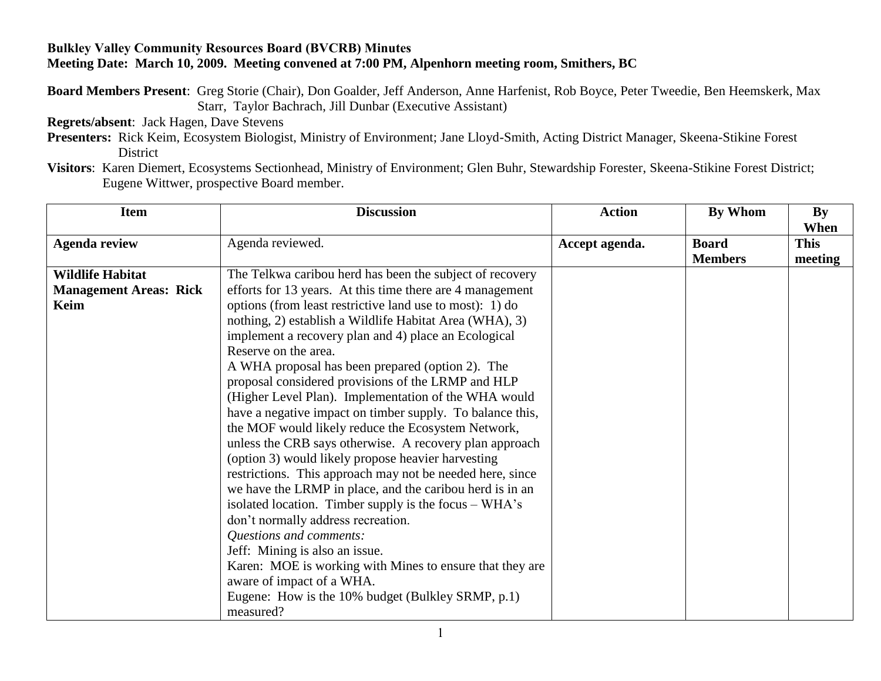## **Bulkley Valley Community Resources Board (BVCRB) Minutes Meeting Date: March 10, 2009. Meeting convened at 7:00 PM, Alpenhorn meeting room, Smithers, BC**

**Board Members Present**: Greg Storie (Chair), Don Goalder, Jeff Anderson, Anne Harfenist, Rob Boyce, Peter Tweedie, Ben Heemskerk, Max Starr, Taylor Bachrach, Jill Dunbar (Executive Assistant)

**Regrets/absent**: Jack Hagen, Dave Stevens

**Presenters:** Rick Keim, Ecosystem Biologist, Ministry of Environment; Jane Lloyd-Smith, Acting District Manager, Skeena-Stikine Forest District

**Visitors**: Karen Diemert, Ecosystems Sectionhead, Ministry of Environment; Glen Buhr, Stewardship Forester, Skeena-Stikine Forest District; Eugene Wittwer, prospective Board member.

| <b>Item</b>                   | <b>Discussion</b>                                                                                                                                                                                                                                                                                                                                                                                                                                                                                                                                                                                                                                                                                                                                                                                                                                                                                                                                                                                                                                         | <b>Action</b>  | By Whom                        | By<br>When             |
|-------------------------------|-----------------------------------------------------------------------------------------------------------------------------------------------------------------------------------------------------------------------------------------------------------------------------------------------------------------------------------------------------------------------------------------------------------------------------------------------------------------------------------------------------------------------------------------------------------------------------------------------------------------------------------------------------------------------------------------------------------------------------------------------------------------------------------------------------------------------------------------------------------------------------------------------------------------------------------------------------------------------------------------------------------------------------------------------------------|----------------|--------------------------------|------------------------|
| <b>Agenda review</b>          | Agenda reviewed.                                                                                                                                                                                                                                                                                                                                                                                                                                                                                                                                                                                                                                                                                                                                                                                                                                                                                                                                                                                                                                          | Accept agenda. | <b>Board</b><br><b>Members</b> | <b>This</b><br>meeting |
| <b>Wildlife Habitat</b>       | The Telkwa caribou herd has been the subject of recovery                                                                                                                                                                                                                                                                                                                                                                                                                                                                                                                                                                                                                                                                                                                                                                                                                                                                                                                                                                                                  |                |                                |                        |
| <b>Management Areas: Rick</b> | efforts for 13 years. At this time there are 4 management                                                                                                                                                                                                                                                                                                                                                                                                                                                                                                                                                                                                                                                                                                                                                                                                                                                                                                                                                                                                 |                |                                |                        |
| Keim                          | options (from least restrictive land use to most): 1) do<br>nothing, 2) establish a Wildlife Habitat Area (WHA), 3)<br>implement a recovery plan and 4) place an Ecological<br>Reserve on the area.<br>A WHA proposal has been prepared (option 2). The<br>proposal considered provisions of the LRMP and HLP<br>(Higher Level Plan). Implementation of the WHA would<br>have a negative impact on timber supply. To balance this,<br>the MOF would likely reduce the Ecosystem Network,<br>unless the CRB says otherwise. A recovery plan approach<br>(option 3) would likely propose heavier harvesting<br>restrictions. This approach may not be needed here, since<br>we have the LRMP in place, and the caribou herd is in an<br>isolated location. Timber supply is the focus – WHA's<br>don't normally address recreation.<br>Questions and comments:<br>Jeff: Mining is also an issue.<br>Karen: MOE is working with Mines to ensure that they are<br>aware of impact of a WHA.<br>Eugene: How is the 10% budget (Bulkley SRMP, p.1)<br>measured? |                |                                |                        |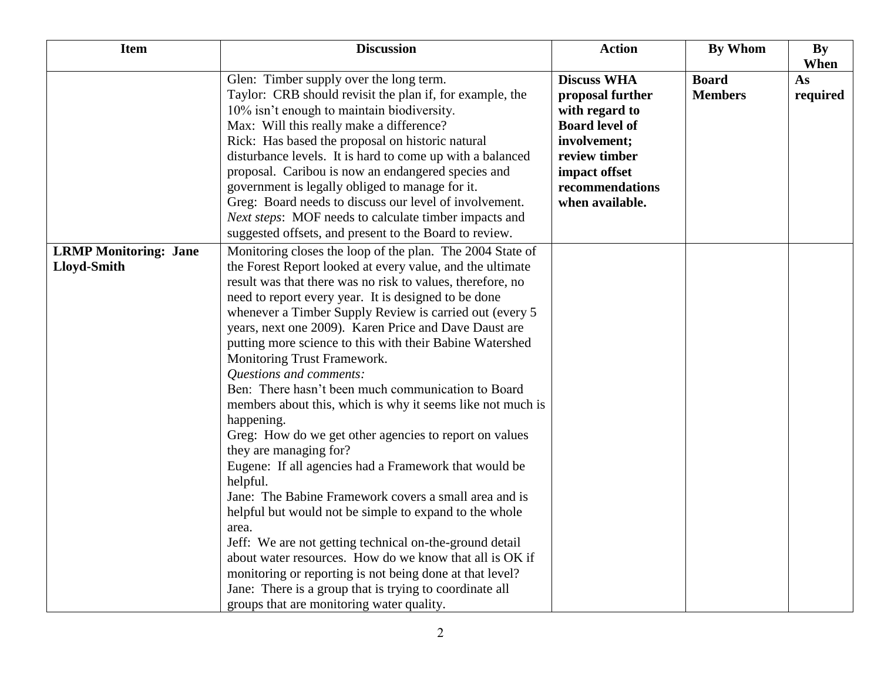| <b>Item</b>                                        | <b>Discussion</b>                                                                                                                                                                                                                                                                                                                                                                                                                                                                                                                                                                                                                                                                                                                                                                                                                                                                                                                                                                                                                                                                                                                                                                                               | <b>Action</b>                                                                                                                                                             | <b>By Whom</b>                 | By<br>When     |
|----------------------------------------------------|-----------------------------------------------------------------------------------------------------------------------------------------------------------------------------------------------------------------------------------------------------------------------------------------------------------------------------------------------------------------------------------------------------------------------------------------------------------------------------------------------------------------------------------------------------------------------------------------------------------------------------------------------------------------------------------------------------------------------------------------------------------------------------------------------------------------------------------------------------------------------------------------------------------------------------------------------------------------------------------------------------------------------------------------------------------------------------------------------------------------------------------------------------------------------------------------------------------------|---------------------------------------------------------------------------------------------------------------------------------------------------------------------------|--------------------------------|----------------|
|                                                    | Glen: Timber supply over the long term.<br>Taylor: CRB should revisit the plan if, for example, the<br>10% isn't enough to maintain biodiversity.<br>Max: Will this really make a difference?<br>Rick: Has based the proposal on historic natural<br>disturbance levels. It is hard to come up with a balanced<br>proposal. Caribou is now an endangered species and<br>government is legally obliged to manage for it.<br>Greg: Board needs to discuss our level of involvement.<br>Next steps: MOF needs to calculate timber impacts and<br>suggested offsets, and present to the Board to review.                                                                                                                                                                                                                                                                                                                                                                                                                                                                                                                                                                                                            | <b>Discuss WHA</b><br>proposal further<br>with regard to<br><b>Board level of</b><br>involvement;<br>review timber<br>impact offset<br>recommendations<br>when available. | <b>Board</b><br><b>Members</b> | As<br>required |
| <b>LRMP Monitoring: Jane</b><br><b>Lloyd-Smith</b> | Monitoring closes the loop of the plan. The 2004 State of<br>the Forest Report looked at every value, and the ultimate<br>result was that there was no risk to values, therefore, no<br>need to report every year. It is designed to be done<br>whenever a Timber Supply Review is carried out (every 5)<br>years, next one 2009). Karen Price and Dave Daust are<br>putting more science to this with their Babine Watershed<br>Monitoring Trust Framework.<br><b>Questions and comments:</b><br>Ben: There hasn't been much communication to Board<br>members about this, which is why it seems like not much is<br>happening.<br>Greg: How do we get other agencies to report on values<br>they are managing for?<br>Eugene: If all agencies had a Framework that would be<br>helpful.<br>Jane: The Babine Framework covers a small area and is<br>helpful but would not be simple to expand to the whole<br>area.<br>Jeff: We are not getting technical on-the-ground detail<br>about water resources. How do we know that all is OK if<br>monitoring or reporting is not being done at that level?<br>Jane: There is a group that is trying to coordinate all<br>groups that are monitoring water quality. |                                                                                                                                                                           |                                |                |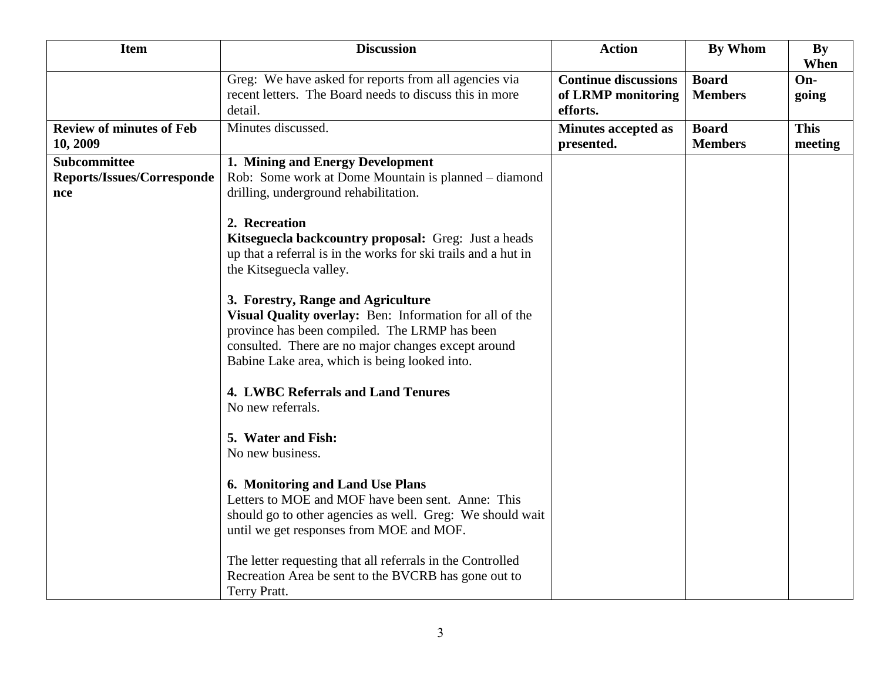| <b>Item</b>                                                     | <b>Discussion</b>                                                                                                                                                                                                | <b>Action</b>                                                 | <b>By Whom</b>                 | <b>By</b><br>When      |
|-----------------------------------------------------------------|------------------------------------------------------------------------------------------------------------------------------------------------------------------------------------------------------------------|---------------------------------------------------------------|--------------------------------|------------------------|
|                                                                 | Greg: We have asked for reports from all agencies via<br>recent letters. The Board needs to discuss this in more<br>detail.                                                                                      | <b>Continue discussions</b><br>of LRMP monitoring<br>efforts. | <b>Board</b><br><b>Members</b> | On-<br>going           |
| <b>Review of minutes of Feb</b><br>10, 2009                     | Minutes discussed.                                                                                                                                                                                               | <b>Minutes accepted as</b><br>presented.                      | <b>Board</b><br><b>Members</b> | <b>This</b><br>meeting |
| <b>Subcommittee</b><br><b>Reports/Issues/Corresponde</b><br>nce | 1. Mining and Energy Development<br>Rob: Some work at Dome Mountain is planned – diamond<br>drilling, underground rehabilitation.<br>2. Recreation                                                               |                                                               |                                |                        |
|                                                                 | Kitseguecla backcountry proposal: Greg: Just a heads<br>up that a referral is in the works for ski trails and a hut in<br>the Kitseguecla valley.<br>3. Forestry, Range and Agriculture                          |                                                               |                                |                        |
|                                                                 | Visual Quality overlay: Ben: Information for all of the<br>province has been compiled. The LRMP has been<br>consulted. There are no major changes except around<br>Babine Lake area, which is being looked into. |                                                               |                                |                        |
|                                                                 | <b>4. LWBC Referrals and Land Tenures</b><br>No new referrals.                                                                                                                                                   |                                                               |                                |                        |
|                                                                 | 5. Water and Fish:<br>No new business.                                                                                                                                                                           |                                                               |                                |                        |
|                                                                 | 6. Monitoring and Land Use Plans<br>Letters to MOE and MOF have been sent. Anne: This<br>should go to other agencies as well. Greg: We should wait<br>until we get responses from MOE and MOF.                   |                                                               |                                |                        |
|                                                                 | The letter requesting that all referrals in the Controlled<br>Recreation Area be sent to the BVCRB has gone out to<br>Terry Pratt.                                                                               |                                                               |                                |                        |